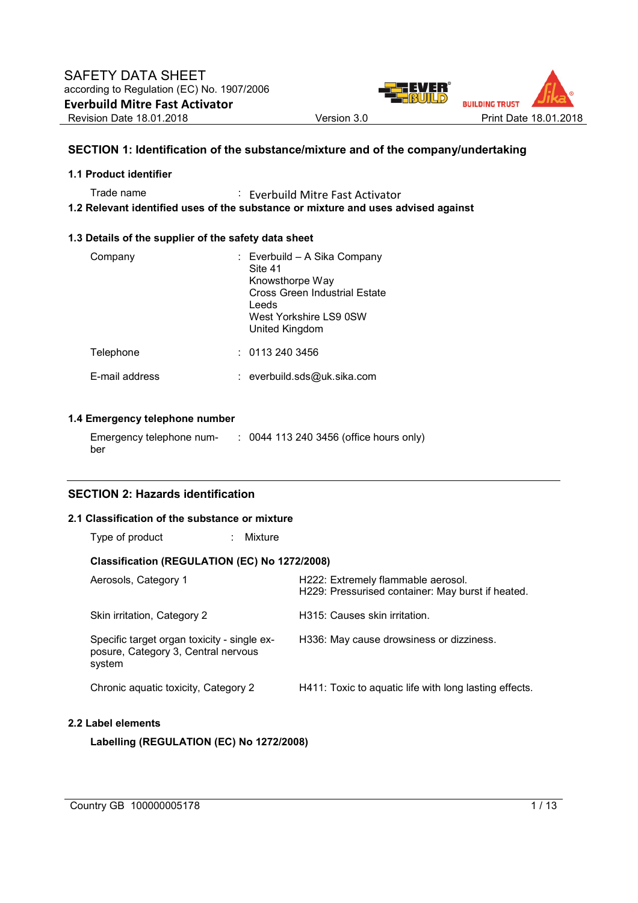

# **SECTION 1: Identification of the substance/mixture and of the company/undertaking**

## **1.1 Product identifier**

Trade name : Everbuild Mitre Fast Activator **1.2 Relevant identified uses of the substance or mixture and uses advised against** 

## **1.3 Details of the supplier of the safety data sheet**

| Company        | : Everbuild – A Sika Company<br>Site 41<br>Knowsthorpe Way<br>Cross Green Industrial Estate<br>Leeds<br>West Yorkshire LS9 0SW<br>United Kingdom |
|----------------|--------------------------------------------------------------------------------------------------------------------------------------------------|
| Telephone      | : 01132403456                                                                                                                                    |
| F-mail address | : everbuild.sds@uk.sika.com                                                                                                                      |

## **1.4 Emergency telephone number**

| Emergency telephone num- | : 0044 113 240 3456 (office hours only) |
|--------------------------|-----------------------------------------|
| ber                      |                                         |

## **SECTION 2: Hazards identification**

## **2.1 Classification of the substance or mixture**

| Type of product<br>÷.                                                                        | Mixture |                                                                                         |  |  |  |  |  |  |  |
|----------------------------------------------------------------------------------------------|---------|-----------------------------------------------------------------------------------------|--|--|--|--|--|--|--|
| Classification (REGULATION (EC) No 1272/2008)                                                |         |                                                                                         |  |  |  |  |  |  |  |
| Aerosols, Category 1                                                                         |         | H222: Extremely flammable aerosol.<br>H229: Pressurised container: May burst if heated. |  |  |  |  |  |  |  |
| Skin irritation, Category 2                                                                  |         | H315: Causes skin irritation.                                                           |  |  |  |  |  |  |  |
| Specific target organ toxicity - single ex-<br>posure, Category 3, Central nervous<br>system |         | H336: May cause drowsiness or dizziness.                                                |  |  |  |  |  |  |  |
| Chronic aguatic toxicity, Category 2                                                         |         | H411: Toxic to aquatic life with long lasting effects.                                  |  |  |  |  |  |  |  |
| Label elements                                                                               |         |                                                                                         |  |  |  |  |  |  |  |

**Labelling (REGULATION (EC) No 1272/2008)** 

 $2.2$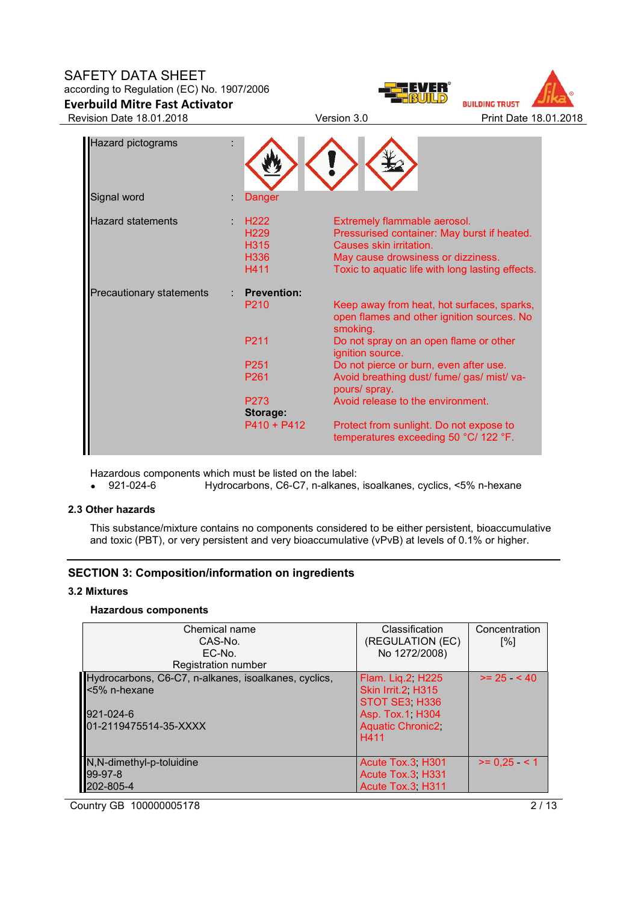# SAFETY DATA SHEET

# according to Regulation (EC) No. 1907/2006 **Everbuild Mitre Fast Activator**





Revision Date 18.01.2018 Version 3.0 Print Date 18.01.2018

| Hazard pictograms        |                                                              |                                                                                                                                                                                                  |
|--------------------------|--------------------------------------------------------------|--------------------------------------------------------------------------------------------------------------------------------------------------------------------------------------------------|
| Signal word              | Danger                                                       |                                                                                                                                                                                                  |
| <b>Hazard statements</b> | H <sub>222</sub><br>H <sub>229</sub><br>H315<br>H336<br>H411 | Extremely flammable aerosol.<br>Pressurised container: May burst if heated.<br>Causes skin irritation.<br>May cause drowsiness or dizziness.<br>Toxic to aquatic life with long lasting effects. |
| Precautionary statements | <b>Prevention:</b>                                           |                                                                                                                                                                                                  |
|                          | P <sub>210</sub>                                             | Keep away from heat, hot surfaces, sparks,<br>open flames and other ignition sources. No<br>smoking.                                                                                             |
|                          | P <sub>211</sub>                                             | Do not spray on an open flame or other<br>ignition source.                                                                                                                                       |
|                          | P <sub>251</sub>                                             | Do not pierce or burn, even after use.                                                                                                                                                           |
|                          | P261                                                         | Avoid breathing dust/ fume/ gas/ mist/ va-<br>pours/ spray.                                                                                                                                      |
|                          | P <sub>273</sub><br>Storage:                                 | Avoid release to the environment.                                                                                                                                                                |
|                          | $P410 + P412$                                                | Protect from sunlight. Do not expose to<br>temperatures exceeding 50 °C/ 122 °F.                                                                                                                 |

Hazardous components which must be listed on the label:<br>• 921-024-6 Hydrocarbons, C6-C7, n-alkanes,

• 921-024-6 Hydrocarbons, C6-C7, n-alkanes, isoalkanes, cyclics, <5% n-hexane

## **2.3 Other hazards**

This substance/mixture contains no components considered to be either persistent, bioaccumulative and toxic (PBT), or very persistent and very bioaccumulative (vPvB) at levels of 0.1% or higher.

# **SECTION 3: Composition/information on ingredients**

### **3.2 Mixtures**

# **Hazardous components**

| Chemical name<br>CAS-No.<br>EC-No.                                                                                                | Classification<br>(REGULATION (EC)<br>No 1272/2008)                                                            | Concentration<br>$\lceil \% \rceil$ |
|-----------------------------------------------------------------------------------------------------------------------------------|----------------------------------------------------------------------------------------------------------------|-------------------------------------|
| Registration number<br>Hydrocarbons, C6-C7, n-alkanes, isoalkanes, cyclics,<br><5% n-hexane<br>921-024-6<br>01-2119475514-35-XXXX | Flam. Lig. 2 H225<br>Skin Irrit.2 H315<br>STOT SE3 H336<br>Asp. Tox.1, H304<br><b>Aquatic Chronic2</b><br>H411 | $>= 25 \le 40$                      |
| N, N-dimethyl-p-toluidine<br>99-97-8<br>202-805-4                                                                                 | Acute Tox.3, H301<br>Acute Tox.3 H331<br>Acute Tox.3, H311                                                     | $>= 0.25$ < 1                       |

Country GB 100000005178 2/13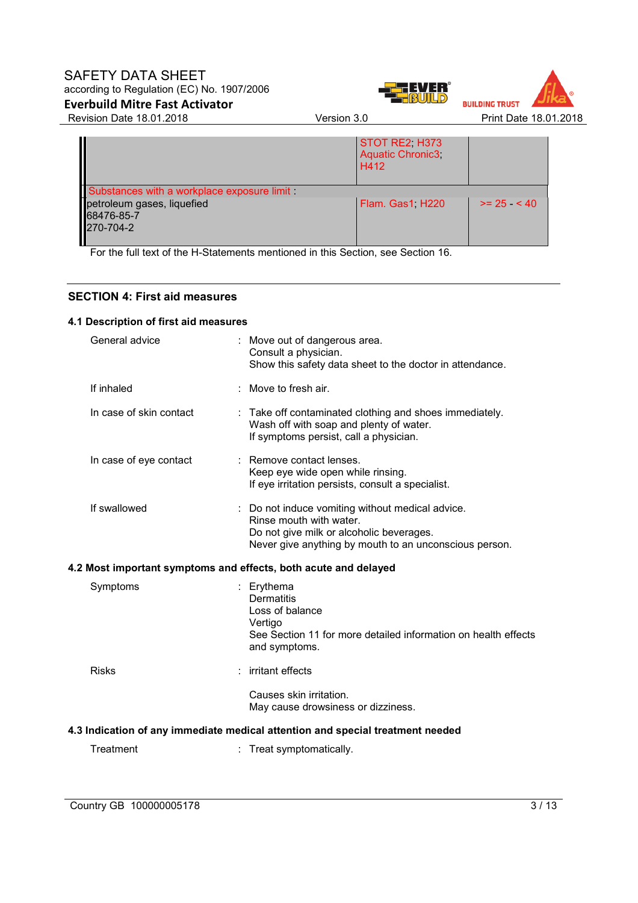# SAFETY DATA SHEET according to Regulation (EC) No. 1907/2006







Revision Date 18.01.2018 Version 3.0 Print Date 18.01.2018

|                                                       | STOT RE2, H373<br><b>Aquatic Chronic3</b><br>H412 |                |
|-------------------------------------------------------|---------------------------------------------------|----------------|
| Substances with a workplace exposure limit            |                                                   |                |
| petroleum gases, liquefied<br>68476-85-7<br>270-704-2 | Flam. Gas1, H220                                  | $>= 25 \le 40$ |

For the full text of the H-Statements mentioned in this Section, see Section 16.

# **SECTION 4: First aid measures**

# **4.1 Description of first aid measures**

| General advice          | : Move out of dangerous area.<br>Consult a physician.<br>Show this safety data sheet to the doctor in attendance.                                                                 |
|-------------------------|-----------------------------------------------------------------------------------------------------------------------------------------------------------------------------------|
| If inhaled              | : Move to fresh air.                                                                                                                                                              |
| In case of skin contact | : Take off contaminated clothing and shoes immediately.<br>Wash off with soap and plenty of water.<br>If symptoms persist, call a physician.                                      |
| In case of eye contact  | : Remove contact lenses.<br>Keep eye wide open while rinsing.<br>If eye irritation persists, consult a specialist.                                                                |
| If swallowed            | : Do not induce vomiting without medical advice.<br>Rinse mouth with water.<br>Do not give milk or alcoholic beverages.<br>Never give anything by mouth to an unconscious person. |
|                         | 4.2 Most important symptoms and effects, both acute and delayed                                                                                                                   |
| Symptoms                | : Erythema<br><b>Dermatitis</b><br>Loss of balance<br>Vertigo<br>See Section 11 for more detailed information on health effects<br>and symptoms.                                  |
| <b>Risks</b>            | : irritant effects                                                                                                                                                                |
|                         | Causes skin irritation.<br>May cause drowsiness or dizziness.                                                                                                                     |
|                         | 4.3 Indication of any immediate medical attention and special treatment needed                                                                                                    |
| Treatment               | : Treat symptomatically.                                                                                                                                                          |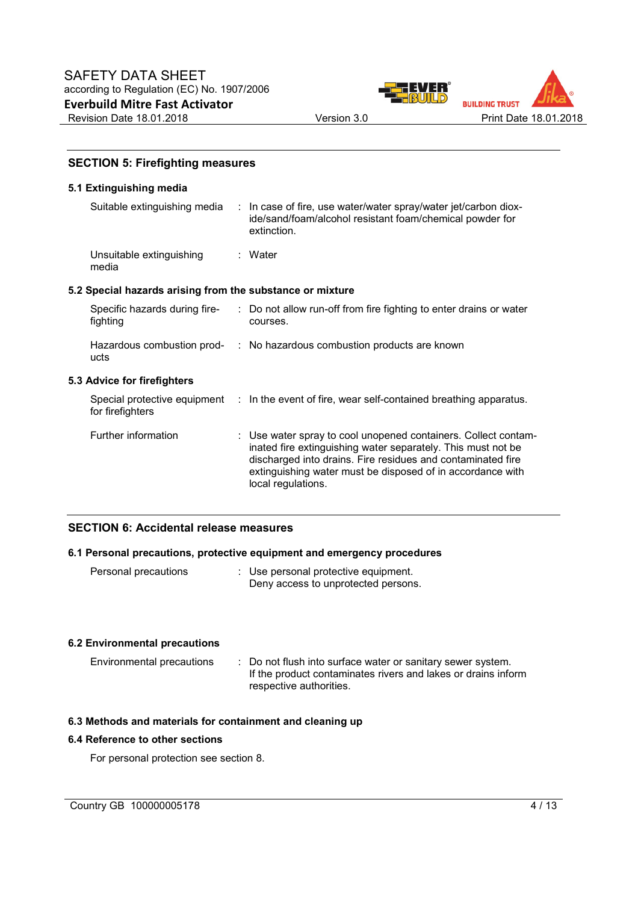



# **SECTION 5: Firefighting measures**

# **5.1 Extinguishing media**

|                                                           | Suitable extinguishing media : In case of fire, use water/water spray/water jet/carbon diox-<br>ide/sand/foam/alcohol resistant foam/chemical powder for<br>extinction.                                                                                                           |
|-----------------------------------------------------------|-----------------------------------------------------------------------------------------------------------------------------------------------------------------------------------------------------------------------------------------------------------------------------------|
| Unsuitable extinguishing<br>media                         | : Water                                                                                                                                                                                                                                                                           |
| 5.2 Special hazards arising from the substance or mixture |                                                                                                                                                                                                                                                                                   |
| Specific hazards during fire-<br>fighting                 | : Do not allow run-off from fire fighting to enter drains or water<br>courses.                                                                                                                                                                                                    |
| ucts                                                      | Hazardous combustion prod- : No hazardous combustion products are known                                                                                                                                                                                                           |
| 5.3 Advice for firefighters                               |                                                                                                                                                                                                                                                                                   |
| for firefighters                                          | Special protective equipment : In the event of fire, wear self-contained breathing apparatus.                                                                                                                                                                                     |
| Further information                                       | : Use water spray to cool unopened containers. Collect contam-<br>inated fire extinguishing water separately. This must not be<br>discharged into drains. Fire residues and contaminated fire<br>extinguishing water must be disposed of in accordance with<br>local regulations. |

## **SECTION 6: Accidental release measures**

## **6.1 Personal precautions, protective equipment and emergency procedures**

| Personal precautions |  | : Use personal protective equipment. |  |
|----------------------|--|--------------------------------------|--|
|                      |  | Deny access to unprotected persons.  |  |

## **6.2 Environmental precautions**

| Environmental precautions | : Do not flush into surface water or sanitary sewer system.   |
|---------------------------|---------------------------------------------------------------|
|                           | If the product contaminates rivers and lakes or drains inform |
|                           | respective authorities.                                       |

## **6.3 Methods and materials for containment and cleaning up**

## **6.4 Reference to other sections**

For personal protection see section 8.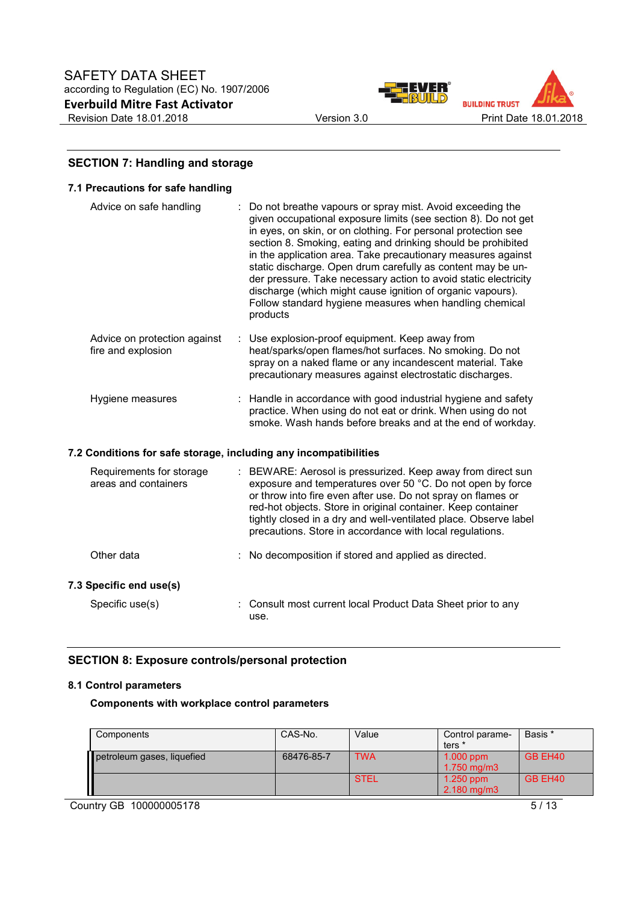



# **SECTION 7: Handling and storage**

| 7.1 Precautions for safe handling                                |    |                                                                                                                                                                                                                                                                                                                                                                                                                                                                                                                                                                                                     |
|------------------------------------------------------------------|----|-----------------------------------------------------------------------------------------------------------------------------------------------------------------------------------------------------------------------------------------------------------------------------------------------------------------------------------------------------------------------------------------------------------------------------------------------------------------------------------------------------------------------------------------------------------------------------------------------------|
| Advice on safe handling                                          |    | Do not breathe vapours or spray mist. Avoid exceeding the<br>given occupational exposure limits (see section 8). Do not get<br>in eyes, on skin, or on clothing. For personal protection see<br>section 8. Smoking, eating and drinking should be prohibited<br>in the application area. Take precautionary measures against<br>static discharge. Open drum carefully as content may be un-<br>der pressure. Take necessary action to avoid static electricity<br>discharge (which might cause ignition of organic vapours).<br>Follow standard hygiene measures when handling chemical<br>products |
| Advice on protection against<br>fire and explosion               | ÷. | Use explosion-proof equipment. Keep away from<br>heat/sparks/open flames/hot surfaces. No smoking. Do not<br>spray on a naked flame or any incandescent material. Take<br>precautionary measures against electrostatic discharges.                                                                                                                                                                                                                                                                                                                                                                  |
| Hygiene measures                                                 |    | : Handle in accordance with good industrial hygiene and safety<br>practice. When using do not eat or drink. When using do not<br>smoke. Wash hands before breaks and at the end of workday.                                                                                                                                                                                                                                                                                                                                                                                                         |
| 7.2 Conditions for safe storage, including any incompatibilities |    |                                                                                                                                                                                                                                                                                                                                                                                                                                                                                                                                                                                                     |
| Requirements for storage<br>areas and containers                 |    | : BEWARE: Aerosol is pressurized. Keep away from direct sun<br>exposure and temperatures over 50 °C. Do not open by force<br>or throw into fire even after use. Do not spray on flames or<br>red-hot objects. Store in original container. Keep container<br>tightly closed in a dry and well-ventilated place. Observe label<br>precautions. Store in accordance with local regulations.                                                                                                                                                                                                           |
| Other data                                                       |    | No decomposition if stored and applied as directed.                                                                                                                                                                                                                                                                                                                                                                                                                                                                                                                                                 |
| 7.3 Specific end use(s)                                          |    |                                                                                                                                                                                                                                                                                                                                                                                                                                                                                                                                                                                                     |

Specific use(s) : Consult most current local Product Data Sheet prior to any use.

# **SECTION 8: Exposure controls/personal protection**

## **8.1 Control parameters**

**Components with workplace control parameters** 

| Components                 | CAS-No.    | Value       | Control parame-<br>ters *       | Basis * |
|----------------------------|------------|-------------|---------------------------------|---------|
| petroleum gases, liquefied | 68476-85-7 | <b>TWA</b>  | $1.000$ ppm<br>$1.750$ mg/m $3$ | GB EH40 |
|                            |            | <b>STEL</b> | $1.250$ ppm<br>$2.180$ mg/m $3$ | GB EH40 |

Country GB 100000005178 5/13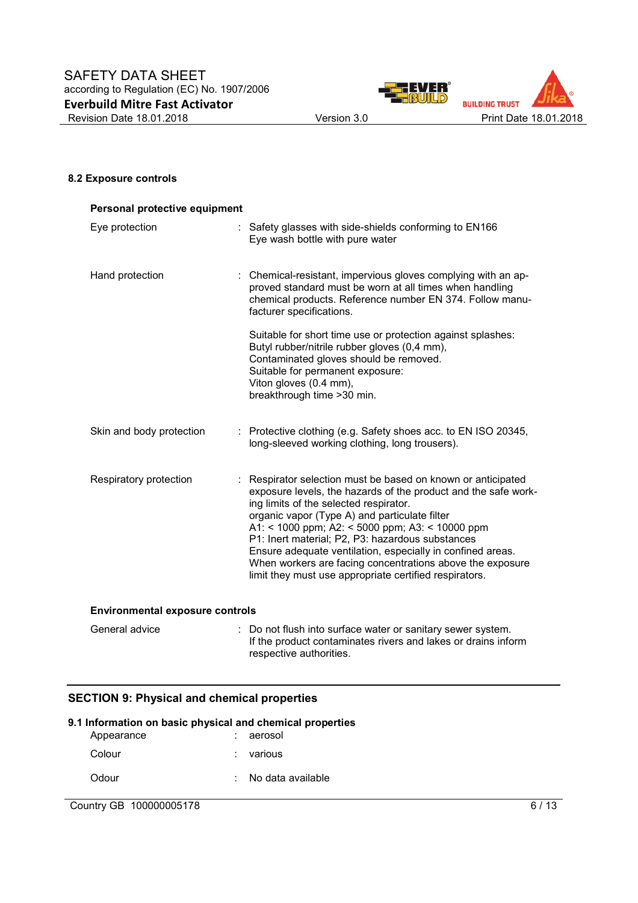

## **8.2 Exposure controls**

| Personal protective equipment |                                                                                                                                                                                                                                                                                                                                                                                                                                                                                                                       |  |  |  |
|-------------------------------|-----------------------------------------------------------------------------------------------------------------------------------------------------------------------------------------------------------------------------------------------------------------------------------------------------------------------------------------------------------------------------------------------------------------------------------------------------------------------------------------------------------------------|--|--|--|
| Eye protection                | : Safety glasses with side-shields conforming to EN166<br>Eye wash bottle with pure water                                                                                                                                                                                                                                                                                                                                                                                                                             |  |  |  |
| Hand protection               | : Chemical-resistant, impervious gloves complying with an ap-<br>proved standard must be worn at all times when handling<br>chemical products. Reference number EN 374. Follow manu-<br>facturer specifications.                                                                                                                                                                                                                                                                                                      |  |  |  |
|                               | Suitable for short time use or protection against splashes:<br>Butyl rubber/nitrile rubber gloves (0,4 mm),<br>Contaminated gloves should be removed.<br>Suitable for permanent exposure:<br>Viton gloves (0.4 mm),<br>breakthrough time > 30 min.                                                                                                                                                                                                                                                                    |  |  |  |
| Skin and body protection      | : Protective clothing (e.g. Safety shoes acc. to EN ISO 20345,<br>long-sleeved working clothing, long trousers).                                                                                                                                                                                                                                                                                                                                                                                                      |  |  |  |
| Respiratory protection        | : Respirator selection must be based on known or anticipated<br>exposure levels, the hazards of the product and the safe work-<br>ing limits of the selected respirator.<br>organic vapor (Type A) and particulate filter<br>A1: < 1000 ppm; A2: < 5000 ppm; A3: < 10000 ppm<br>P1: Inert material; P2, P3: hazardous substances<br>Ensure adequate ventilation, especially in confined areas.<br>When workers are facing concentrations above the exposure<br>limit they must use appropriate certified respirators. |  |  |  |

#### **Environmental exposure controls**

| General advice | : Do not flush into surface water or sanitary sewer system.   |
|----------------|---------------------------------------------------------------|
|                | If the product contaminates rivers and lakes or drains inform |
|                | respective authorities.                                       |

# **SECTION 9: Physical and chemical properties**

| 9.1 Information on basic physical and chemical properties |  |                     |  |  |
|-----------------------------------------------------------|--|---------------------|--|--|
| Appearance                                                |  | aerosol             |  |  |
| Colour                                                    |  | various             |  |  |
| Odour                                                     |  | : No data available |  |  |
|                                                           |  |                     |  |  |

# Country GB 100000005178 6/13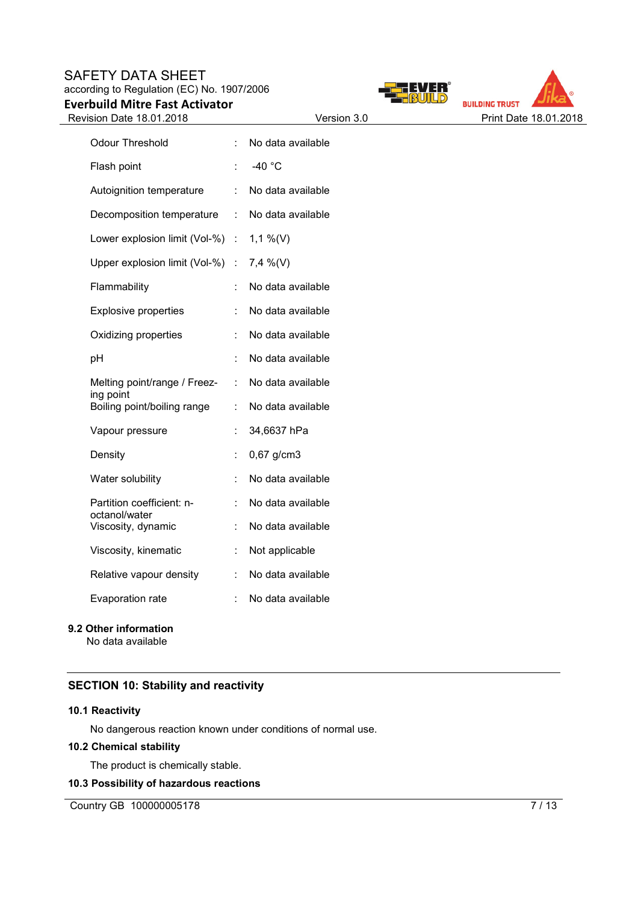# SAFETY DATA SHEET according to Regulation (EC) No. 1907/2006 **Everbuild Mitre Fast Activator**





| <b>Odour Threshold</b>                     | ÷                           | No data available |
|--------------------------------------------|-----------------------------|-------------------|
| Flash point                                |                             | $-40$ °C          |
| Autoignition temperature                   | ÷                           | No data available |
| Decomposition temperature                  | $\mathbb{R}^{\mathbb{Z}}$   | No data available |
| Lower explosion limit (Vol-%)              | $\mathbb{Z}^{\times}$       | $1,1\%$ (V)       |
| Upper explosion limit (Vol-%)              | $\mathcal{L}^{\mathcal{L}}$ | $7,4\%$ (V)       |
| Flammability                               | t.                          | No data available |
| <b>Explosive properties</b>                | t                           | No data available |
| Oxidizing properties                       | ÷                           | No data available |
| pH                                         | t                           | No data available |
| Melting point/range / Freez-<br>ing point  | t.                          | No data available |
| Boiling point/boiling range                | ÷.                          | No data available |
| Vapour pressure                            | t                           | 34,6637 hPa       |
| Density                                    | t                           | 0,67 g/cm3        |
| Water solubility                           | t                           | No data available |
| Partition coefficient: n-<br>octanol/water | ÷                           | No data available |
| Viscosity, dynamic                         | ÷.                          | No data available |
| Viscosity, kinematic                       | t.                          | Not applicable    |
| Relative vapour density                    | t.                          | No data available |
| <b>Evaporation rate</b>                    | t.                          | No data available |

# **9.2 Other information**

No data available

# **SECTION 10: Stability and reactivity**

## **10.1 Reactivity**

No dangerous reaction known under conditions of normal use.

# **10.2 Chemical stability**

The product is chemically stable.

# **10.3 Possibility of hazardous reactions**

Country GB 100000005178 7/13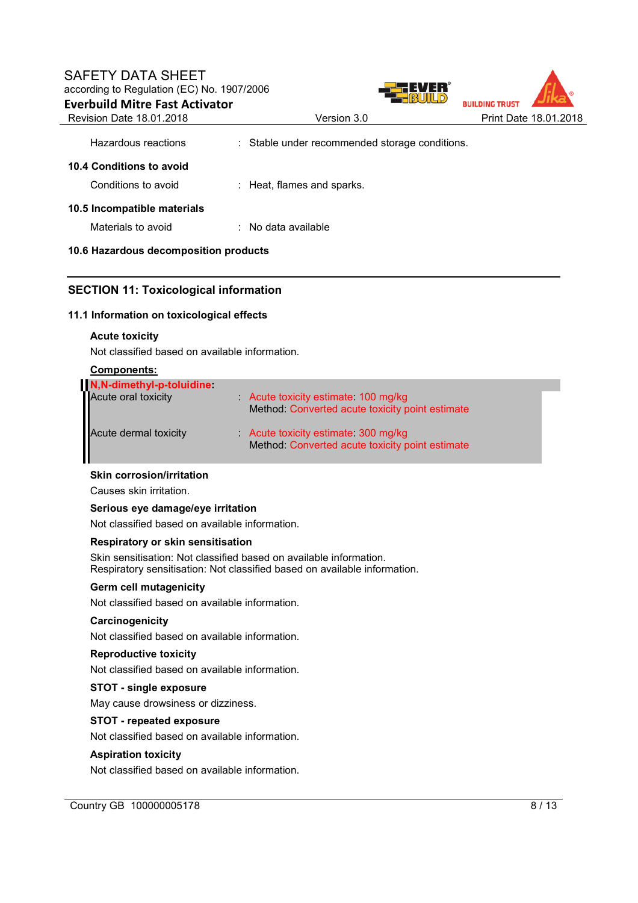# SAFETY DATA SHEET according to Regulation (EC) No. 1907/2006 **Everbuild Mitre Fast Activator**





| Hazardous reactions                   | : Stable under recommended storage conditions. |
|---------------------------------------|------------------------------------------------|
| 10.4 Conditions to avoid              |                                                |
| Conditions to avoid                   | : Heat, flames and sparks.                     |
| 10.5 Incompatible materials           |                                                |
| Materials to avoid                    | $\therefore$ No data available                 |
| 10.6 Hazardous decomposition products |                                                |

# **10.6 Hazardous decomposition products**

# **SECTION 11: Toxicological information**

## **11.1 Information on toxicological effects**

#### **Acute toxicity**

Not classified based on available information.

#### **Components:**

| N,N-dimethyl-p-toluidine<br>Acute oral toxicity | Acute toxicity estimate 100 mg/kg<br>Method: Converted acute toxicity point estimate |  |
|-------------------------------------------------|--------------------------------------------------------------------------------------|--|
| Acute dermal toxicity                           | Acute toxicity estimate 300 mg/kg<br>Method: Converted acute toxicity point estimate |  |

#### **Skin corrosion/irritation**

Causes skin irritation.

#### **Serious eye damage/eye irritation**

Not classified based on available information.

## **Respiratory or skin sensitisation**

Skin sensitisation: Not classified based on available information. Respiratory sensitisation: Not classified based on available information.

#### **Germ cell mutagenicity**

Not classified based on available information.

## **Carcinogenicity**

Not classified based on available information.

#### **Reproductive toxicity**

Not classified based on available information.

## **STOT - single exposure**

May cause drowsiness or dizziness.

## **STOT - repeated exposure**

Not classified based on available information.

#### **Aspiration toxicity**

Not classified based on available information.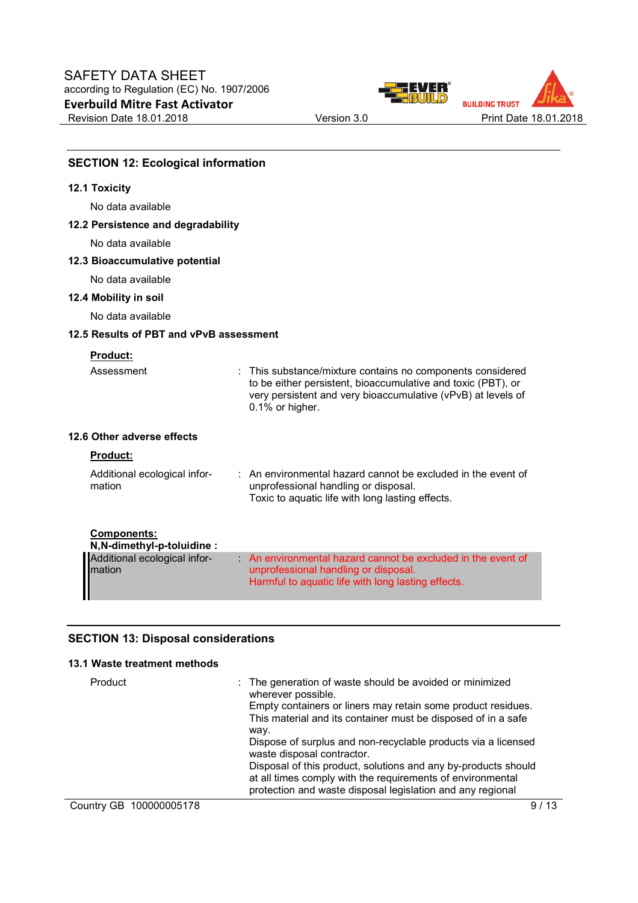



# **SECTION 12: Ecological information**

# **12.1 Toxicity**

No data available

## **12.2 Persistence and degradability**

No data available

## **12.3 Bioaccumulative potential**

No data available

**12.4 Mobility in soil** 

No data available

#### **12.5 Results of PBT and vPvB assessment**

# **Product:**

| Assessment                                       | : This substance/mixture contains no components considered<br>to be either persistent, bioaccumulative and toxic (PBT), or<br>very persistent and very bioaccumulative (vPvB) at levels of<br>0.1% or higher. |
|--------------------------------------------------|---------------------------------------------------------------------------------------------------------------------------------------------------------------------------------------------------------------|
| 12.6 Other adverse effects                       |                                                                                                                                                                                                               |
| <b>Product:</b>                                  |                                                                                                                                                                                                               |
| Additional ecological infor-<br>mation           | $\therefore$ An environmental hazard cannot be excluded in the event of<br>unprofessional handling or disposal.<br>Toxic to aquatic life with long lasting effects.                                           |
| <b>Components:</b><br>N, N-dimethyl-p-toluidine: |                                                                                                                                                                                                               |
| Additional ecological infor-<br>mation           | An environmental hazard cannot be excluded in the event of<br>unprofessional handling or disposal.<br>Harmful to aquatic life with long lasting effects.                                                      |

## **SECTION 13: Disposal considerations**

# **13.1 Waste treatment methods**

| Product                 | : The generation of waste should be avoided or minimized<br>wherever possible.<br>Empty containers or liners may retain some product residues.<br>This material and its container must be disposed of in a safe<br>way.<br>Dispose of surplus and non-recyclable products via a licensed<br>waste disposal contractor.<br>Disposal of this product, solutions and any by-products should<br>at all times comply with the requirements of environmental<br>protection and waste disposal legislation and any regional |
|-------------------------|----------------------------------------------------------------------------------------------------------------------------------------------------------------------------------------------------------------------------------------------------------------------------------------------------------------------------------------------------------------------------------------------------------------------------------------------------------------------------------------------------------------------|
| Country GB 100000005178 |                                                                                                                                                                                                                                                                                                                                                                                                                                                                                                                      |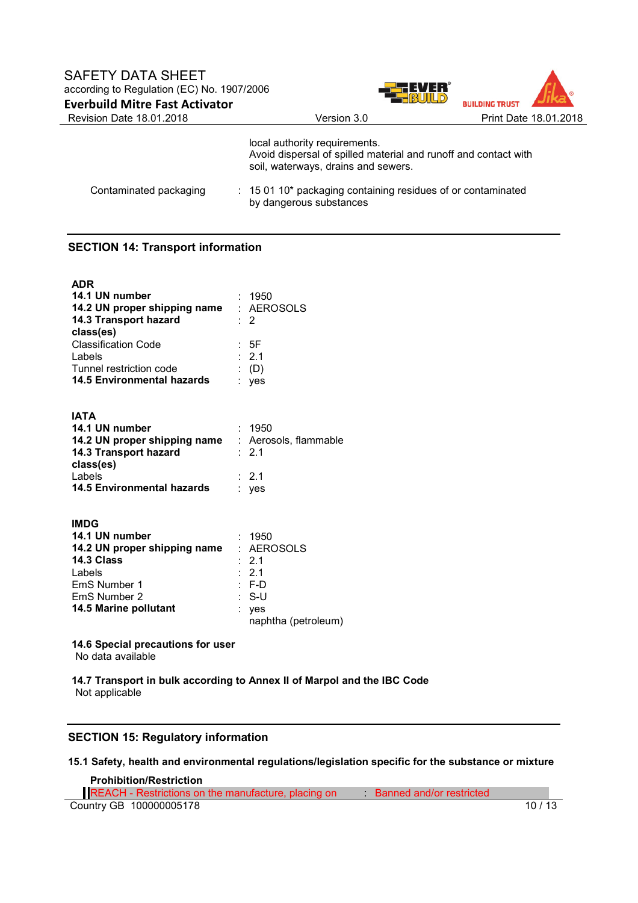



|                        | local authority requirements.<br>Avoid dispersal of spilled material and runoff and contact with<br>soil, waterways, drains and sewers. |
|------------------------|-----------------------------------------------------------------------------------------------------------------------------------------|
| Contaminated packaging | : 15 01 10* packaging containing residues of or contaminated<br>by dangerous substances                                                 |

# **SECTION 14: Transport information**

| : 1950                                                    |
|-----------------------------------------------------------|
| 14.2 UN proper shipping name : AEROSOLS                   |
| : 2                                                       |
|                                                           |
| : 5F                                                      |
| $\div$ 2.1                                                |
| (D)                                                       |
| yes                                                       |
|                                                           |
|                                                           |
| : 1950                                                    |
| <b>14.2 UN proper shipping name</b> : Aerosols, flammable |
| : 2.1                                                     |
|                                                           |
| $\div$ 2.1                                                |
| ves                                                       |
|                                                           |

| <b>IMDG</b>                  |                     |
|------------------------------|---------------------|
| 14.1 UN number               | : 1950              |
| 14.2 UN proper shipping name | : AEROSOLS          |
| 14.3 Class                   | $\therefore$ 2.1    |
| Labels                       | $\therefore$ 2.1    |
| EmS Number 1                 | $: F-D$             |
| EmS Number 2                 | : S-U               |
| 14.5 Marine pollutant        | : yes               |
|                              | naphtha (petroleum) |

**14.6 Special precautions for user** No data available

**14.7 Transport in bulk according to Annex II of Marpol and the IBC Code** Not applicable

## **SECTION 15: Regulatory information**

## **15.1 Safety, health and environmental regulations/legislation specific for the substance or mixture**

#### **Prohibition/Restriction**

Country GB 100000005178 10 / 13 REACH - Restrictions on the manufacture, placing on Banned and/or restricted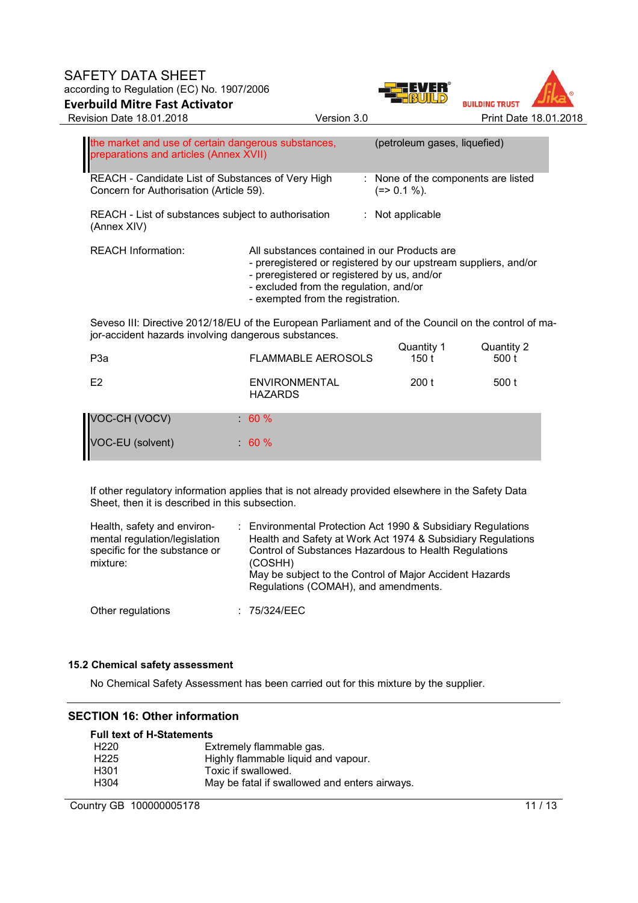# SAFETY DATA SHEET according to Regulation (EC) No. 1907/2006 **Everbuild Mitre Fast Activator**  Revision Date 18.01.2018 Version 3.0 Print Date 18.01.2018





| the market and use of certain dangerous substances,<br>preparations and articles (Annex XVII)                                                                |                                                                                                                                                                                                                                               | (petroleum gases, liquefied)                        |                     |  |
|--------------------------------------------------------------------------------------------------------------------------------------------------------------|-----------------------------------------------------------------------------------------------------------------------------------------------------------------------------------------------------------------------------------------------|-----------------------------------------------------|---------------------|--|
| REACH - Candidate List of Substances of Very High<br>Concern for Authorisation (Article 59).                                                                 |                                                                                                                                                                                                                                               | : None of the components are listed<br>$(=>0.1\%).$ |                     |  |
| REACH - List of substances subject to authorisation<br>(Annex XIV)                                                                                           |                                                                                                                                                                                                                                               | $:$ Not applicable                                  |                     |  |
| <b>REACH Information:</b>                                                                                                                                    | All substances contained in our Products are<br>- preregistered or registered by our upstream suppliers, and/or<br>- preregistered or registered by us, and/or<br>- excluded from the regulation, and/or<br>- exempted from the registration. |                                                     |                     |  |
| Seveso III: Directive 2012/18/EU of the European Parliament and of the Council on the control of ma-<br>jor-accident hazards involving dangerous substances. |                                                                                                                                                                                                                                               |                                                     |                     |  |
| P3a                                                                                                                                                          | <b>FLAMMABLE AEROSOLS</b>                                                                                                                                                                                                                     | Quantity 1<br>150 t                                 | Quantity 2<br>500 t |  |

| .                |                                        |       | .     |
|------------------|----------------------------------------|-------|-------|
| E <sub>2</sub>   | <b>ENVIRONMENTAL</b><br><b>HAZARDS</b> | 200 t | 500 t |
| VOC-CH (VOCV)    | $: 60 \%$                              |       |       |
| VOC-EU (solvent) | $\therefore$ 60 %                      |       |       |

If other regulatory information applies that is not already provided elsewhere in the Safety Data Sheet, then it is described in this subsection.

| Health, safety and environ-<br>mental regulation/legislation<br>specific for the substance or<br>mixture: | : Environmental Protection Act 1990 & Subsidiary Regulations<br>Health and Safety at Work Act 1974 & Subsidiary Regulations<br>Control of Substances Hazardous to Health Regulations<br>(COSHH)<br>May be subject to the Control of Major Accident Hazards<br>Regulations (COMAH), and amendments. |
|-----------------------------------------------------------------------------------------------------------|----------------------------------------------------------------------------------------------------------------------------------------------------------------------------------------------------------------------------------------------------------------------------------------------------|
| Other regulations                                                                                         | : 75/324/EEC                                                                                                                                                                                                                                                                                       |

# **15.2 Chemical safety assessment**

No Chemical Safety Assessment has been carried out for this mixture by the supplier.

# **SECTION 16: Other information**

| <b>Full text of H-Statements</b> |                                               |  |  |
|----------------------------------|-----------------------------------------------|--|--|
| H <sub>220</sub>                 | Extremely flammable gas.                      |  |  |
| H <sub>225</sub>                 | Highly flammable liquid and vapour.           |  |  |
| H301                             | Toxic if swallowed.                           |  |  |
| H <sub>304</sub>                 | May be fatal if swallowed and enters airways. |  |  |

Country GB 100000005178 11/13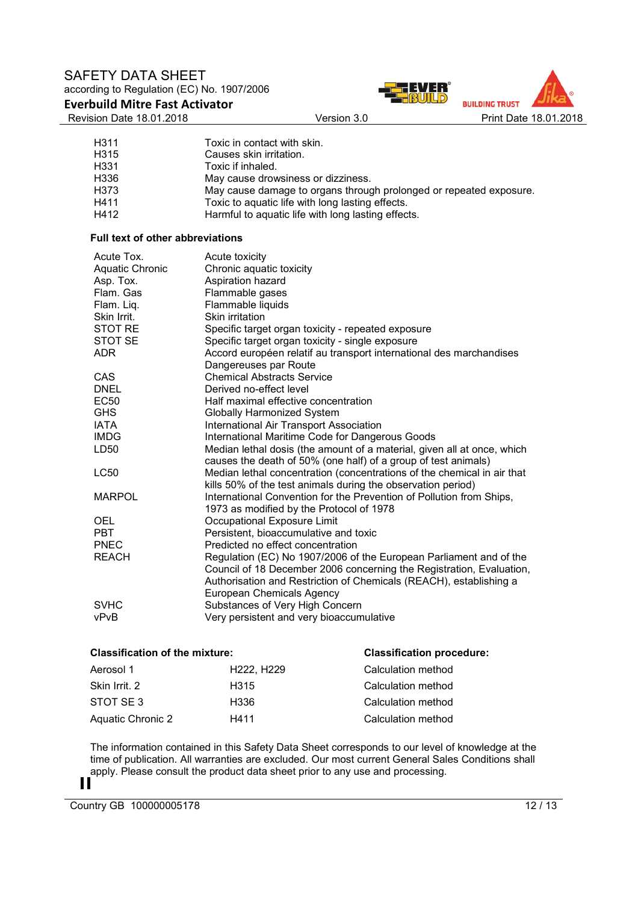# SAFETY DATA SHEET according to Regulation (EC) No. 1907/2006

**Everbuild Mitre Fast Activator** 

Revision Date 18.01.2018 Version 3.0 Print Date 18.01.2018



| H311 | Toxic in contact with skin.                                        |
|------|--------------------------------------------------------------------|
| H315 | Causes skin irritation.                                            |
| H331 | Toxic if inhaled.                                                  |
| H336 | May cause drowsiness or dizziness.                                 |
| H373 | May cause damage to organs through prolonged or repeated exposure. |
| H411 | Toxic to aquatic life with long lasting effects.                   |
| H412 | Harmful to aquatic life with long lasting effects.                 |

#### **Full text of other abbreviations**

| Acute Tox.<br><b>Aquatic Chronic</b><br>Asp. Tox.<br>Flam, Gas | Acute toxicity<br>Chronic aquatic toxicity<br>Aspiration hazard<br>Flammable gases                                                        |
|----------------------------------------------------------------|-------------------------------------------------------------------------------------------------------------------------------------------|
| Flam. Liq.                                                     | Flammable liquids                                                                                                                         |
| Skin Irrit.                                                    | Skin irritation                                                                                                                           |
| <b>STOT RE</b>                                                 | Specific target organ toxicity - repeated exposure                                                                                        |
| STOT SE                                                        | Specific target organ toxicity - single exposure                                                                                          |
| <b>ADR</b>                                                     | Accord européen relatif au transport international des marchandises                                                                       |
|                                                                | Dangereuses par Route                                                                                                                     |
| CAS                                                            | <b>Chemical Abstracts Service</b>                                                                                                         |
| <b>DNEL</b>                                                    | Derived no-effect level                                                                                                                   |
| EC50                                                           | Half maximal effective concentration                                                                                                      |
| <b>GHS</b>                                                     | <b>Globally Harmonized System</b>                                                                                                         |
| <b>IATA</b>                                                    | International Air Transport Association                                                                                                   |
| <b>IMDG</b>                                                    | International Maritime Code for Dangerous Goods                                                                                           |
| LD50                                                           | Median lethal dosis (the amount of a material, given all at once, which<br>causes the death of 50% (one half) of a group of test animals) |
| <b>LC50</b>                                                    | Median lethal concentration (concentrations of the chemical in air that                                                                   |
|                                                                | kills 50% of the test animals during the observation period)                                                                              |
| <b>MARPOL</b>                                                  | International Convention for the Prevention of Pollution from Ships,                                                                      |
|                                                                | 1973 as modified by the Protocol of 1978                                                                                                  |
| <b>OEL</b>                                                     | Occupational Exposure Limit                                                                                                               |
| <b>PBT</b>                                                     | Persistent, bioaccumulative and toxic                                                                                                     |
| <b>PNEC</b>                                                    | Predicted no effect concentration                                                                                                         |
| <b>REACH</b>                                                   | Regulation (EC) No 1907/2006 of the European Parliament and of the                                                                        |
|                                                                | Council of 18 December 2006 concerning the Registration, Evaluation,                                                                      |
|                                                                | Authorisation and Restriction of Chemicals (REACH), establishing a                                                                        |
|                                                                | European Chemicals Agency                                                                                                                 |
| <b>SVHC</b>                                                    | Substances of Very High Concern                                                                                                           |
| vPvB                                                           | Very persistent and very bioaccumulative                                                                                                  |

## **Classification of the mixture: Classification procedure:**

| Aerosol 1         | H <sub>222</sub> . H <sub>229</sub> | Calculation method |
|-------------------|-------------------------------------|--------------------|
| Skin Irrit, 2     | H315                                | Calculation method |
| STOT SE3          | H336                                | Calculation method |
| Aquatic Chronic 2 | H411                                | Calculation method |

The information contained in this Safety Data Sheet corresponds to our level of knowledge at the time of publication. All warranties are excluded. Our most current General Sales Conditions shall apply. Please consult the product data sheet prior to any use and processing.